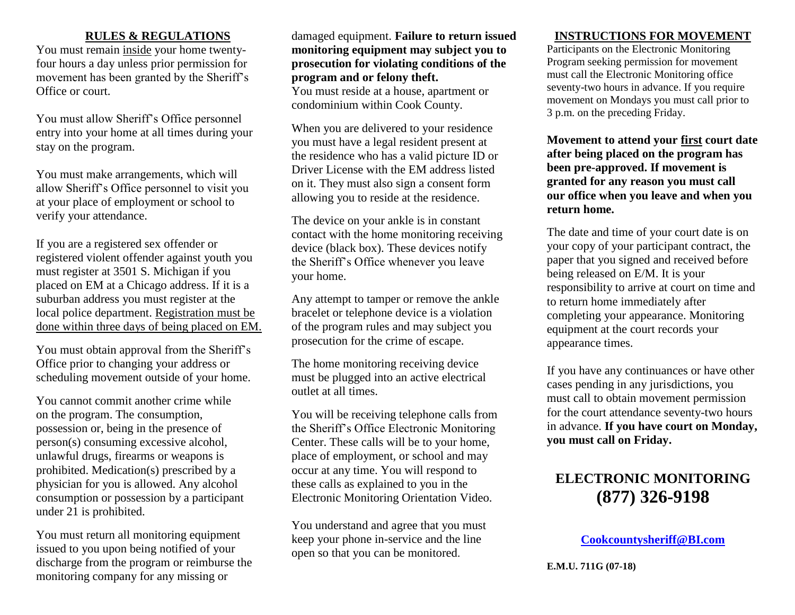#### **RULES & REGULATIONS**

You must remain inside your home twentyfour hours a day unless prior permission for movement has been granted by the Sheriff's Office or court.

You must allow Sheriff's Office personnel entry into your home at all times during your stay on the program.

You must make arrangements, which will allow Sheriff's Office personnel to visit you at your place of employment or school to verify your attendance.

If you are a registered sex offender or registered violent offender against youth you must register at 3501 S. Michigan if you placed on EM at a Chicago address. If it is a suburban address you must register at the local police department. Registration must be done within three days of being placed on EM.

You must obtain approval from the Sheriff's Office prior to changing your address or scheduling movement outside of your home.

You cannot commit another crime while on the program. The consumption, possession or, being in the presence of person(s) consuming excessive alcohol, unlawful drugs, firearms or weapons is prohibited. Medication(s) prescribed by a physician for you is allowed. Any alcohol consumption or possession by a participant under 21 is prohibited.

You must return all monitoring equipment issued to you upon being notified of your discharge from the program or reimburse the monitoring company for any missing or

damaged equipment. **Failure to return issued monitoring equipment may subject you to prosecution for violating conditions of the program and or felony theft.** You must reside at a house, apartment or

condominium within Cook County.

When you are delivered to your residence you must have a legal resident present at the residence who has a valid picture ID or Driver License with the EM address listed on it. They must also sign a consent form allowing you to reside at the residence.

The device on your ankle is in constant contact with the home monitoring receiving device (black box). These devices notify the Sheriff's Office whenever you leave your home.

Any attempt to tamper or remove the ankle bracelet or telephone device is a violation of the program rules and may subject you prosecution for the crime of escape.

The home monitoring receiving device must be plugged into an active electrical outlet at all times.

You will be receiving telephone calls from the Sheriff's Office Electronic Monitoring Center. These calls will be to your home, place of employment, or school and may occur at any time. You will respond to these calls as explained to you in the Electronic Monitoring Orientation Video.

You understand and agree that you must keep your phone in-service and the line open so that you can be monitored.

## **INSTRUCTIONS FOR MOVEMENT**

Participants on the Electronic Monitoring Program seeking permission for movement must call the Electronic Monitoring office seventy-two hours in advance. If you require movement on Mondays you must call prior to 3 p.m. on the preceding Friday.

**Movement to attend your first court date after being placed on the program has been pre-approved. If movement is granted for any reason you must call our office when you leave and when you return home.**

The date and time of your court date is on your copy of your participant contract, the paper that you signed and received before being released on E/M. It is your responsibility to arrive at court on time and to return home immediately after completing your appearance. Monitoring equipment at the court records your appearance times.

If you have any continuances or have other cases pending in any jurisdictions, you must call to obtain movement permission for the court attendance seventy-two hours in advance. **If you have court on Monday, you must call on Friday.**

# **ELECTRONIC MONITORING (877) 326-9198**

**[Cookcountysheriff@BI.com](mailto:Cookcountysheriff@BI.com)**

**E.M.U. 711G (07-18)**